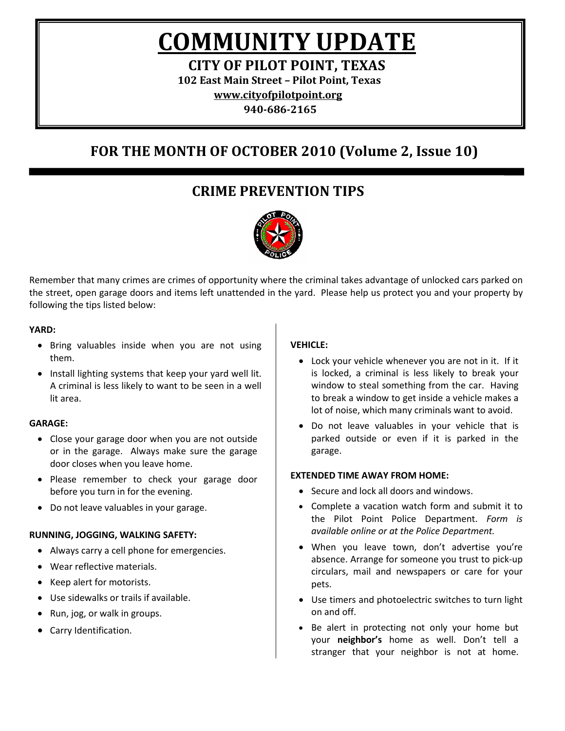**COMMUNITY UPDATE**

**CITY OF PILOT POINT, TEXAS**

**102 East Main Street – Pilot Point, Texas**

**[www.cityofpilotpoint.org](http://www.cityofpilotpoint.org/)**

**940-686-2165**

## **FOR THE MONTH OF OCTOBER 2010 (Volume 2, Issue 10)**

### **CRIME PREVENTION TIPS**



Remember that many crimes are crimes of opportunity where the criminal takes advantage of unlocked cars parked on the street, open garage doors and items left unattended in the yard. Please help us protect you and your property by following the tips listed below:

### **YARD:**

- Bring valuables inside when you are not using them.
- Install lighting systems that keep your yard well lit. A criminal is less likely to want to be seen in a well lit area.

### **GARAGE:**

- Close your garage door when you are not outside or in the garage. Always make sure the garage door closes when you leave home.
- Please remember to check your garage door before you turn in for the evening.
- Do not leave valuables in your garage.

### **RUNNING, JOGGING, WALKING SAFETY:**

- Always carry a cell phone for emergencies.
- Wear reflective materials.
- Keep alert for motorists.
- Use sidewalks or trails if available.
- Run, jog, or walk in groups.
- Carry Identification.

### **VEHICLE:**

- Lock your vehicle whenever you are not in it. If it is locked, a criminal is less likely to break your window to steal something from the car. Having to break a window to get inside a vehicle makes a lot of noise, which many criminals want to avoid.
- Do not leave valuables in your vehicle that is parked outside or even if it is parked in the garage.

### **EXTENDED TIME AWAY FROM HOME:**

- Secure and lock all doors and windows.
- Complete a vacation watch form and submit it to the Pilot Point Police Department. *Form is available online or at the Police Department.*
- When you leave town, don't advertise you're absence. Arrange for someone you trust to pick-up circulars, mail and newspapers or care for your pets.
- Use timers and photoelectric switches to turn light on and off.
- Be alert in protecting not only your home but your **neighbor's** home as well. Don't tell a stranger that your neighbor is not at home.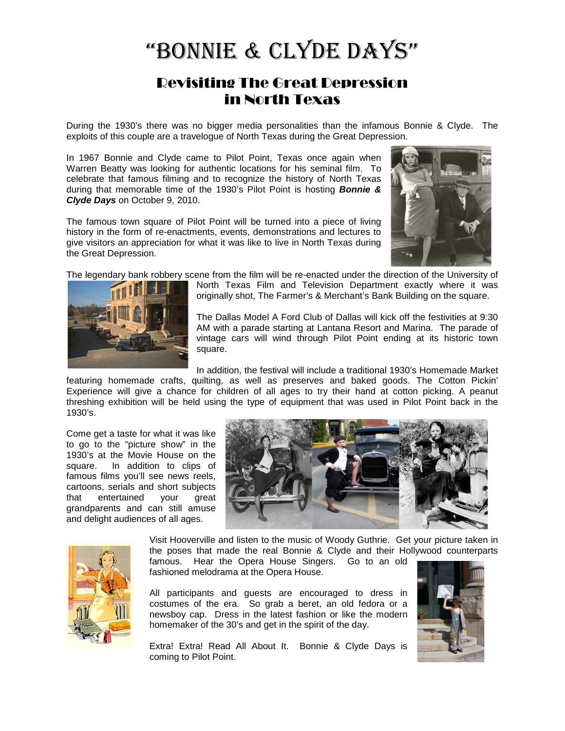# "Bonnie & Clyde Days"

### Revisiting The Great Depression in North Texas

During the 1930's there was no bigger media personalities than the infamous Bonnie & Clyde. The exploits of this couple are a travelogue of North Texas during the Great Depression.

In 1967 Bonnie and Clyde came to Pilot Point, Texas once again when Warren Beatty was looking for authentic locations for his seminal film. To celebrate that famous filming and to recognize the history of North Texas during that memorable time of the 1930's Pilot Point is hosting *Bonnie & Clyde Days* on October 9, 2010.

The famous town square of Pilot Point will be turned into a piece of living history in the form of re-enactments, events, demonstrations and lectures to give visitors an appreciation for what it was like to live in North Texas during the Great Depression.



The legendary bank robbery scene from the film will be re-enacted under the direction of the University of



North Texas Film and Television Department exactly where it was originally shot, The Farmer's & Merchant's Bank Building on the square.

The Dallas Model A Ford Club of Dallas will kick off the festivities at 9:30 AM with a parade starting at Lantana Resort and Marina. The parade of vintage cars will wind through Pilot Point ending at its historic town square.

In addition, the festival will include a traditional 1930's Homemade Market

featuring homemade crafts, quilting, as well as preserves and baked goods. The Cotton Pickin' Experience will give a chance for children of all ages to try their hand at cotton picking. A peanut threshing exhibition will be held using the type of equipment that was used in Pilot Point back in the 1930's.

Come get a taste for what it was like to go to the "picture show" in the 1930's at the Movie House on the square. In addition to clips of famous films you'll see news reels, cartoons, serials and short subjects that entertained your great grandparents and can still amuse and delight audiences of all ages.





Visit Hooverville and listen to the music of Woody Guthrie. Get your picture taken in the poses that made the real Bonnie & Clyde and their Hollywood counterparts famous. Hear the Opera House Singers. Go to an old

fashioned melodrama at the Opera House.

All participants and guests are encouraged to dress in costumes of the era. So grab a beret, an old fedora or a newsboy cap. Dress in the latest fashion or like the modern homemaker of the 30's and get in the spirit of the day.

Extra! Extra! Read All About It. Bonnie & Clyde Days is coming to Pilot Point.

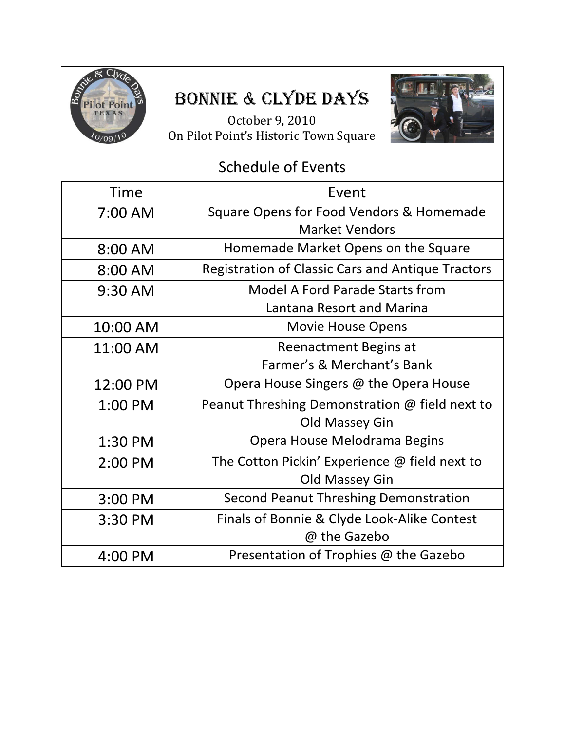

# Bonnie & Clyde Days

October 9, 2010 On Pilot Point's Historic Town Square



## Schedule of Events Time | Event 7:00 AM Square Opens for Food Vendors & Homemade Market Vendors 8:00 AM Homemade Market Opens on the Square 8:00 AM | Registration of Classic Cars and Antique Tractors 9:30 AM Model A Ford Parade Starts from Lantana Resort and Marina 10:00 AM  $\qquad$  Movie House Opens 11:00 AM  $\qquad$  Reenactment Begins at Farmer's & Merchant's Bank 12:00 PM  $\blacksquare$  Opera House Singers @ the Opera House 1:00 PM Peanut Threshing Demonstration @ field next to Old Massey Gin 1:30 PM Opera House Melodrama Begins 2:00 PM The Cotton Pickin' Experience @ field next to Old Massey Gin 3:00 PM Second Peanut Threshing Demonstration 3:30 PM Finals of Bonnie & Clyde Look-Alike Contest @ the Gazebo 4:00 PM Presentation of Trophies @ the Gazebo